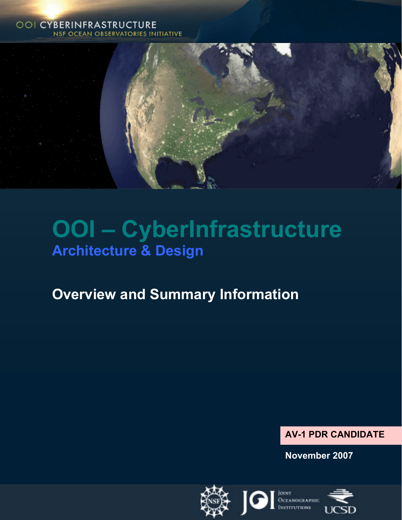## **OOI CYBERINFRASTRUCTURE NSF OCEAN OBSERVATORIES INITIATIVE**



# **OOI – CyberInfrastructure Architecture & Design**

## **Overview and Summary Information**

## **AV-1 PDR CANDIDATE**

**November 2007** 

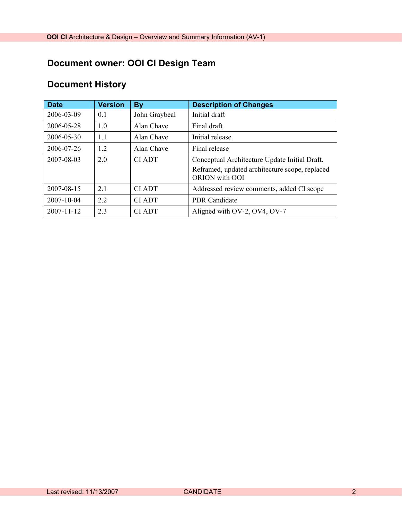## **Document owner: OOI CI Design Team**

## **Document History**

| <b>Date</b>      | <b>Version</b> | <b>By</b>     | <b>Description of Changes</b>                                    |
|------------------|----------------|---------------|------------------------------------------------------------------|
| 2006-03-09       | 0.1            | John Graybeal | Initial draft                                                    |
| 2006-05-28       | 1.0            | Alan Chave    | Final draft                                                      |
| 2006-05-30       | 1.1            | Alan Chave    | Initial release                                                  |
| 2006-07-26       | 1.2            | Alan Chave    | Final release                                                    |
| 2007-08-03       | 20             | CI ADT        | Conceptual Architecture Update Initial Draft.                    |
|                  |                |               | Reframed, updated architecture scope, replaced<br>ORION with OOI |
| 2007-08-15       | 21             | <b>CIADT</b>  | Addressed review comments, added CI scope                        |
| 2007-10-04       | 22             | <b>CIADT</b>  | <b>PDR</b> Candidate                                             |
| $2007 - 11 - 12$ | 2.3            | <b>CIADT</b>  | Aligned with OV-2, OV4, OV-7                                     |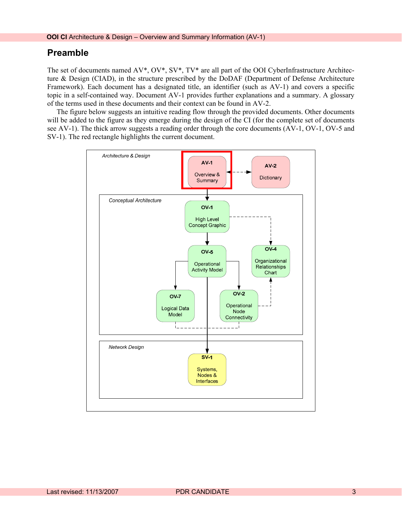## **Preamble**

The set of documents named AV\*, OV\*, SV\*, TV\* are all part of the OOI CyberInfrastructure Architecture & Design (CIAD), in the structure prescribed by the DoDAF (Department of Defense Architecture Framework). Each document has a designated title, an identifier (such as AV-1) and covers a specific topic in a self-contained way. Document AV-1 provides further explanations and a summary. A glossary of the terms used in these documents and their context can be found in AV-2.

The figure below suggests an intuitive reading flow through the provided documents. Other documents will be added to the figure as they emerge during the design of the CI (for the complete set of documents see AV-1). The thick arrow suggests a reading order through the core documents (AV-1, OV-1, OV-5 and SV-1). The red rectangle highlights the current document.

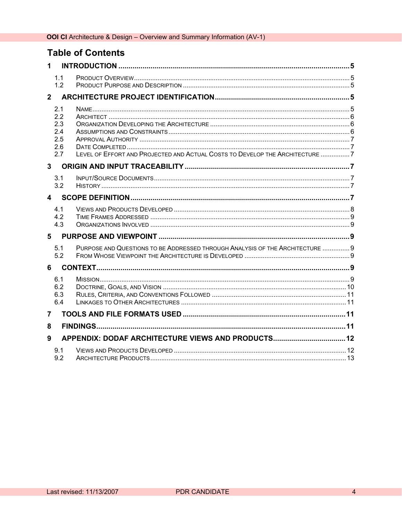## **Table of Contents**

| 1           |                                               |                                                                               |  |
|-------------|-----------------------------------------------|-------------------------------------------------------------------------------|--|
|             | 1.1<br>1.2                                    |                                                                               |  |
| $2^{\circ}$ |                                               |                                                                               |  |
|             | 2.1<br>2.2<br>2.3<br>2.4<br>2.5<br>2.6<br>2.7 | LEVEL OF EFFORT AND PROJECTED AND ACTUAL COSTS TO DEVELOP THE ARCHITECTURE 7  |  |
| 3           |                                               |                                                                               |  |
|             | 3.1<br>3.2                                    |                                                                               |  |
| $\mathbf 4$ |                                               |                                                                               |  |
|             | 4.1<br>4.2<br>4.3                             |                                                                               |  |
| 5           |                                               |                                                                               |  |
|             | 5.1<br>5.2                                    | PURPOSE AND QUESTIONS TO BE ADDRESSED THROUGH ANALYSIS OF THE ARCHITECTURE  9 |  |
| 6           |                                               |                                                                               |  |
|             | 6.1<br>6.2<br>6.3<br>6.4                      |                                                                               |  |
| 7           |                                               |                                                                               |  |
| 8           |                                               |                                                                               |  |
| 9           |                                               | APPENDIX: DODAF ARCHITECTURE VIEWS AND PRODUCTS 12                            |  |
|             | 9.1<br>9.2                                    |                                                                               |  |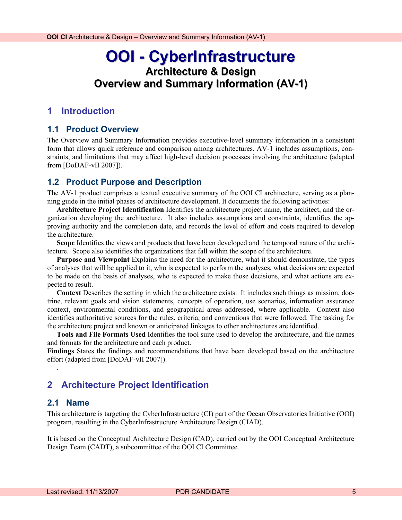## <span id="page-4-0"></span>**OOI - CyberInfrastructure Architecture & Design Overview and Summary Information (AV-1)**

## **1 Introduction**

#### **1.1 Product Overview**

The Overview and Summary Information provides executive-level summary information in a consistent form that allows quick reference and comparison among architectures. AV-1 includes assumptions, constraints, and limitations that may affect high-level decision processes involving the architecture (adapted from [DoDAF-vII 2007]).

## **1.2 Product Purpose and Description**

The AV-1 product comprises a textual executive summary of the OOI CI architecture, serving as a planning guide in the initial phases of architecture development. It documents the following activities:

**Architecture Project Identification** Identifies the architecture project name, the architect, and the organization developing the architecture. It also includes assumptions and constraints, identifies the approving authority and the completion date, and records the level of effort and costs required to develop the architecture.

**Scope** Identifies the views and products that have been developed and the temporal nature of the architecture. Scope also identifies the organizations that fall within the scope of the architecture.

**Purpose and Viewpoint** Explains the need for the architecture, what it should demonstrate, the types of analyses that will be applied to it, who is expected to perform the analyses, what decisions are expected to be made on the basis of analyses, who is expected to make those decisions, and what actions are expected to result.

**Context** Describes the setting in which the architecture exists. It includes such things as mission, doctrine, relevant goals and vision statements, concepts of operation, use scenarios, information assurance context, environmental conditions, and geographical areas addressed, where applicable. Context also identifies authoritative sources for the rules, criteria, and conventions that were followed. The tasking for the architecture project and known or anticipated linkages to other architectures are identified.

**Tools and File Formats Used** Identifies the tool suite used to develop the architecture, and file names and formats for the architecture and each product.

**Findings** States the findings and recommendations that have been developed based on the architecture effort (adapted from [DoDAF-vII 2007]).

## **2 Architecture Project Identification**

#### **2.1 Name**

.

This architecture is targeting the CyberInfrastructure (CI) part of the Ocean Observatories Initiative (OOI) program, resulting in the CyberInfrastructure Architecture Design (CIAD).

It is based on the Conceptual Architecture Design (CAD), carried out by the OOI Conceptual Architecture Design Team (CADT), a subcommittee of the OOI CI Committee.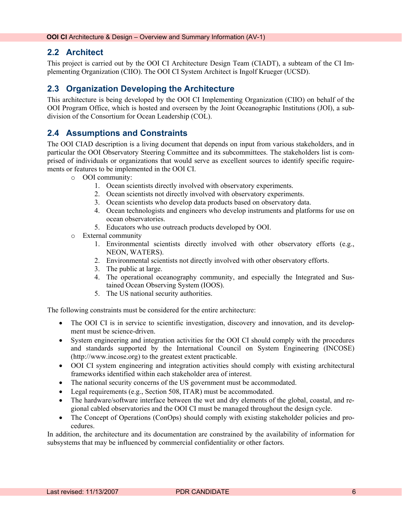## <span id="page-5-0"></span>**2.2 Architect**

This project is carried out by the OOI CI Architecture Design Team (CIADT), a subteam of the CI Implementing Organization (CIIO). The OOI CI System Architect is Ingolf Krueger (UCSD).

## **2.3 Organization Developing the Architecture**

This architecture is being developed by the OOI CI Implementing Organization (CIIO) on behalf of the OOI Program Office, which is hosted and overseen by the Joint Oceanographic Institutions (JOI), a subdivision of the Consortium for Ocean Leadership (COL).

## **2.4 Assumptions and Constraints**

The OOI CIAD description is a living document that depends on input from various stakeholders, and in particular the OOI Observatory Steering Committee and its subcommittees. The stakeholders list is comprised of individuals or organizations that would serve as excellent sources to identify specific requirements or features to be implemented in the OOI CI.

- o OOI community:
	- 1. Ocean scientists directly involved with observatory experiments.
	- 2. Ocean scientists not directly involved with observatory experiments.
	- 3. Ocean scientists who develop data products based on observatory data.
	- 4. Ocean technologists and engineers who develop instruments and platforms for use on ocean observatories.
	- 5. Educators who use outreach products developed by OOI.
- o External community
	- 1. Environmental scientists directly involved with other observatory efforts (e.g., NEON, WATERS).
	- 2. Environmental scientists not directly involved with other observatory efforts.
	- 3. The public at large.
	- 4. The operational oceanography community, and especially the Integrated and Sustained Ocean Observing System (IOOS).
	- 5. The US national security authorities.

The following constraints must be considered for the entire architecture:

- The OOI CI is in service to scientific investigation, discovery and innovation, and its development must be science-driven.
- System engineering and integration activities for the OOI CI should comply with the procedures and standards supported by the International Council on System Engineering (INCOSE) ([http://www.incose.org](http://www.incose.org/)) to the greatest extent practicable.
- OOI CI system engineering and integration activities should comply with existing architectural frameworks identified within each stakeholder area of interest.
- The national security concerns of the US government must be accommodated.
- Legal requirements (e.g., Section 508, ITAR) must be accommodated.
- The hardware/software interface between the wet and dry elements of the global, coastal, and regional cabled observatories and the OOI CI must be managed throughout the design cycle.
- The Concept of Operations (ConOps) should comply with existing stakeholder policies and procedures.

In addition, the architecture and its documentation are constrained by the availability of information for subsystems that may be influenced by commercial confidentiality or other factors.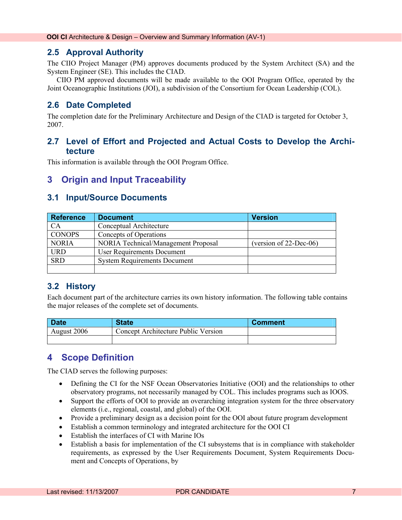## <span id="page-6-0"></span>**2.5 Approval Authority**

The CIIO Project Manager (PM) approves documents produced by the System Architect (SA) and the System Engineer (SE). This includes the CIAD.

CIIO PM approved documents will be made available to the OOI Program Office, operated by the Joint Oceanographic Institutions (JOI), a subdivision of the Consortium for Ocean Leadership (COL).

## **2.6 Date Completed**

The completion date for the Preliminary Architecture and Design of the CIAD is targeted for October 3, 2007.

## **2.7 Level of Effort and Projected and Actual Costs to Develop the Architecture**

This information is available through the OOI Program Office.

## **3 Origin and Input Traceability**

## **3.1 Input/Source Documents**

| <b>Reference</b> | <b>Document</b>                                                  | <b>Version</b> |  |  |
|------------------|------------------------------------------------------------------|----------------|--|--|
| <b>CA</b>        | Conceptual Architecture                                          |                |  |  |
| <b>CONOPS</b>    | Concepts of Operations                                           |                |  |  |
| <b>NORIA</b>     | NORIA Technical/Management Proposal<br>(version of $22$ -Dec-06) |                |  |  |
| <b>URD</b>       | <b>User Requirements Document</b>                                |                |  |  |
| <b>SRD</b>       | <b>System Requirements Document</b>                              |                |  |  |
|                  |                                                                  |                |  |  |

## **3.2 History**

Each document part of the architecture carries its own history information. The following table contains the major releases of the complete set of documents.

| <b>Date</b> | <b>State</b>                        | <b>Comment</b> |
|-------------|-------------------------------------|----------------|
| August 2006 | Concept Architecture Public Version |                |
|             |                                     |                |

## **4 Scope Definition**

The CIAD serves the following purposes:

- Defining the CI for the NSF Ocean Observatories Initiative (OOI) and the relationships to other observatory programs, not necessarily managed by COL. This includes programs such as IOOS.
- Support the efforts of OOI to provide an overarching integration system for the three observatory elements (i.e., regional, coastal, and global) of the OOI.
- Provide a preliminary design as a decision point for the OOI about future program development
- Establish a common terminology and integrated architecture for the OOI CI
- Establish the interfaces of CI with Marine IOs
- Establish a basis for implementation of the CI subsystems that is in compliance with stakeholder requirements, as expressed by the User Requirements Document, System Requirements Document and Concepts of Operations, by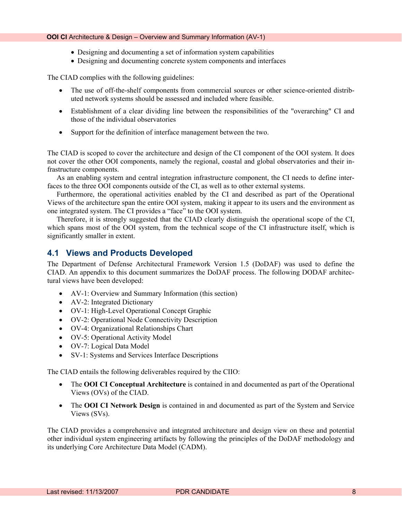#### <span id="page-7-0"></span>**OOI CI** Architecture & Design – Overview and Summary Information (AV-1)

- Designing and documenting a set of information system capabilities
- Designing and documenting concrete system components and interfaces

The CIAD complies with the following guidelines:

- The use of off-the-shelf components from commercial sources or other science-oriented distributed network systems should be assessed and included where feasible.
- Establishment of a clear dividing line between the responsibilities of the "overarching" CI and those of the individual observatories
- Support for the definition of interface management between the two.

The CIAD is scoped to cover the architecture and design of the CI component of the OOI system. It does not cover the other OOI components, namely the regional, coastal and global observatories and their infrastructure components.

As an enabling system and central integration infrastructure component, the CI needs to define interfaces to the three OOI components outside of the CI, as well as to other external systems.

Furthermore, the operational activities enabled by the CI and described as part of the Operational Views of the architecture span the entire OOI system, making it appear to its users and the environment as one integrated system. The CI provides a "face" to the OOI system.

Therefore, it is strongly suggested that the CIAD clearly distinguish the operational scope of the CI, which spans most of the OOI system, from the technical scope of the CI infrastructure itself, which is significantly smaller in extent.

### **4.1 Views and Products Developed**

The Department of Defense Architectural Framework Version 1.5 (DoDAF) was used to define the CIAD. An appendix to this document summarizes the DoDAF process. The following DODAF architectural views have been developed:

- AV-1: Overview and Summary Information (this section)
- AV-2: Integrated Dictionary
- OV-1: High-Level Operational Concept Graphic
- OV-2: Operational Node Connectivity Description
- OV-4: Organizational Relationships Chart
- OV-5: Operational Activity Model
- OV-7: Logical Data Model
- SV-1: Systems and Services Interface Descriptions

The CIAD entails the following deliverables required by the CIIO:

- The **OOI CI Conceptual Architecture** is contained in and documented as part of the Operational Views (OVs) of the CIAD.
- The **OOI CI Network Design** is contained in and documented as part of the System and Service Views (SVs).

The CIAD provides a comprehensive and integrated architecture and design view on these and potential other individual system engineering artifacts by following the principles of the DoDAF methodology and its underlying Core Architecture Data Model (CADM).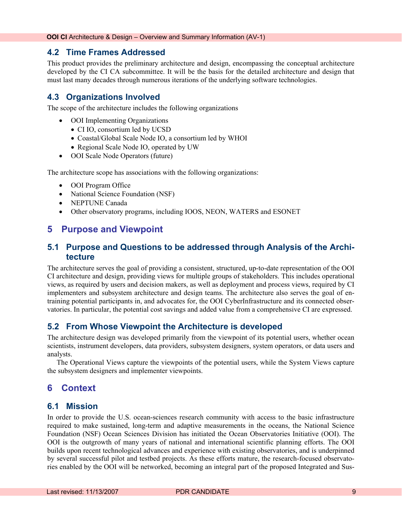## <span id="page-8-0"></span>**4.2 Time Frames Addressed**

This product provides the preliminary architecture and design, encompassing the conceptual architecture developed by the CI CA subcommittee. It will be the basis for the detailed architecture and design that must last many decades through numerous iterations of the underlying software technologies.

## **4.3 Organizations Involved**

The scope of the architecture includes the following organizations

- **OOI** Implementing Organizations
	- CI IO, consortium led by UCSD
	- Coastal/Global Scale Node IO, a consortium led by WHOI
	- Regional Scale Node IO, operated by UW
- OOI Scale Node Operators (future)

The architecture scope has associations with the following organizations:

- OOI Program Office
- National Science Foundation (NSF)
- NEPTUNE Canada
- Other observatory programs, including IOOS, NEON, WATERS and ESONET

## **5 Purpose and Viewpoint**

## **5.1 Purpose and Questions to be addressed through Analysis of the Architecture**

The architecture serves the goal of providing a consistent, structured, up-to-date representation of the OOI CI architecture and design, providing views for multiple groups of stakeholders. This includes operational views, as required by users and decision makers, as well as deployment and process views, required by CI implementers and subsystem architecture and design teams. The architecture also serves the goal of entraining potential participants in, and advocates for, the OOI CyberInfrastructure and its connected observatories. In particular, the potential cost savings and added value from a comprehensive CI are expressed.

## **5.2 From Whose Viewpoint the Architecture is developed**

The architecture design was developed primarily from the viewpoint of its potential users, whether ocean scientists, instrument developers, data providers, subsystem designers, system operators, or data users and analysts.

The Operational Views capture the viewpoints of the potential users, while the System Views capture the subsystem designers and implementer viewpoints.

## **6 Context**

## **6.1 Mission**

In order to provide the U.S. ocean-sciences research community with access to the basic infrastructure required to make sustained, long-term and adaptive measurements in the oceans, the National Science Foundation (NSF) Ocean Sciences Division has initiated the Ocean Observatories Initiative (OOI). The OOI is the outgrowth of many years of national and international scientific planning efforts. The OOI builds upon recent technological advances and experience with existing observatories, and is underpinned by several successful pilot and testbed projects. As these efforts mature, the research-focused observatories enabled by the OOI will be networked, becoming an integral part of the proposed Integrated and Sus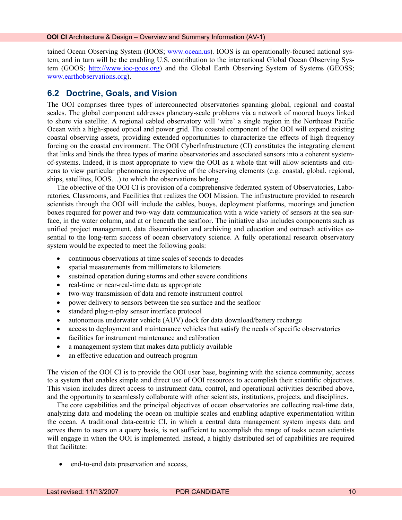<span id="page-9-0"></span>tained Ocean Observing System (IOOS; [www.ocean.us\)](http://www.ocean.us/). IOOS is an operationally-focused national system, and in turn will be the enabling U.S. contribution to the international Global Ocean Observing System (GOOS; [http://www.ioc-goos.org](http://www.ioc-goos.org/)) and the Global Earth Observing System of Systems (GEOSS; [www.earthobservations.org\)](http://www.earthobservations.org/).

## **6.2 Doctrine, Goals, and Vision**

The OOI comprises three types of interconnected observatories spanning global, regional and coastal scales. The global component addresses planetary-scale problems via a network of moored buoys linked to shore via satellite. A regional cabled observatory will 'wire' a single region in the Northeast Pacific Ocean with a high-speed optical and power grid. The coastal component of the OOI will expand existing coastal observing assets, providing extended opportunities to characterize the effects of high frequency forcing on the coastal environment. The OOI CyberInfrastructure (CI) constitutes the integrating element that links and binds the three types of marine observatories and associated sensors into a coherent systemof-systems. Indeed, it is most appropriate to view the OOI as a whole that will allow scientists and citizens to view particular phenomena irrespective of the observing elements (e.g. coastal, global, regional, ships, satellites, IOOS…) to which the observations belong.

The objective of the OOI CI is provision of a comprehensive federated system of Observatories, Laboratories, Classrooms, and Facilities that realizes the OOI Mission. The infrastructure provided to research scientists through the OOI will include the cables, buoys, deployment platforms, moorings and junction boxes required for power and two-way data communication with a wide variety of sensors at the sea surface, in the water column, and at or beneath the seafloor. The initiative also includes components such as unified project management, data dissemination and archiving and education and outreach activities essential to the long-term success of ocean observatory science. A fully operational research observatory system would be expected to meet the following goals:

- continuous observations at time scales of seconds to decades
- spatial measurements from millimeters to kilometers
- sustained operation during storms and other severe conditions
- real-time or near-real-time data as appropriate
- two-way transmission of data and remote instrument control
- power delivery to sensors between the sea surface and the seafloor
- standard plug-n-play sensor interface protocol
- autonomous underwater vehicle (AUV) dock for data download/battery recharge
- access to deployment and maintenance vehicles that satisfy the needs of specific observatories
- facilities for instrument maintenance and calibration
- a management system that makes data publicly available
- an effective education and outreach program

The vision of the OOI CI is to provide the OOI user base, beginning with the science community, access to a system that enables simple and direct use of OOI resources to accomplish their scientific objectives. This vision includes direct access to instrument data, control, and operational activities described above, and the opportunity to seamlessly collaborate with other scientists, institutions, projects, and disciplines.

The core capabilities and the principal objectives of ocean observatories are collecting real-time data, analyzing data and modeling the ocean on multiple scales and enabling adaptive experimentation within the ocean. A traditional data-centric CI, in which a central data management system ingests data and serves them to users on a query basis, is not sufficient to accomplish the range of tasks ocean scientists will engage in when the OOI is implemented. Instead, a highly distributed set of capabilities are required that facilitate:

• end-to-end data preservation and access,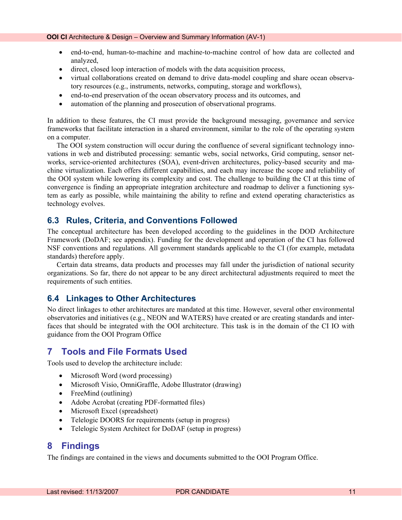- <span id="page-10-0"></span>• end-to-end, human-to-machine and machine-to-machine control of how data are collected and analyzed,
- direct, closed loop interaction of models with the data acquisition process,
- virtual collaborations created on demand to drive data-model coupling and share ocean observatory resources (e.g., instruments, networks, computing, storage and workflows),
- end-to-end preservation of the ocean observatory process and its outcomes, and
- automation of the planning and prosecution of observational programs.

In addition to these features, the CI must provide the background messaging, governance and service frameworks that facilitate interaction in a shared environment, similar to the role of the operating system on a computer.

The OOI system construction will occur during the confluence of several significant technology innovations in web and distributed processing: semantic webs, social networks, Grid computing, sensor networks, service-oriented architectures (SOA), event-driven architectures, policy-based security and machine virtualization. Each offers different capabilities, and each may increase the scope and reliability of the OOI system while lowering its complexity and cost. The challenge to building the CI at this time of convergence is finding an appropriate integration architecture and roadmap to deliver a functioning system as early as possible, while maintaining the ability to refine and extend operating characteristics as technology evolves.

## **6.3 Rules, Criteria, and Conventions Followed**

The conceptual architecture has been developed according to the guidelines in the DOD Architecture Framework (DoDAF; see appendix). Funding for the development and operation of the CI has followed NSF conventions and regulations. All government standards applicable to the CI (for example, metadata standards) therefore apply.

Certain data streams, data products and processes may fall under the jurisdiction of national security organizations. So far, there do not appear to be any direct architectural adjustments required to meet the requirements of such entities.

## **6.4 Linkages to Other Architectures**

No direct linkages to other architectures are mandated at this time. However, several other environmental observatories and initiatives (e.g., NEON and WATERS) have created or are creating standards and interfaces that should be integrated with the OOI architecture. This task is in the domain of the CI IO with guidance from the OOI Program Office

## **7 Tools and File Formats Used**

Tools used to develop the architecture include:

- Microsoft Word (word processing)
- Microsoft Visio, OmniGraffle, Adobe Illustrator (drawing)
- FreeMind (outlining)
- Adobe Acrobat (creating PDF-formatted files)
- Microsoft Excel (spreadsheet)
- Telelogic DOORS for requirements (setup in progress)
- Telelogic System Architect for DoDAF (setup in progress)

## **8 Findings**

The findings are contained in the views and documents submitted to the OOI Program Office.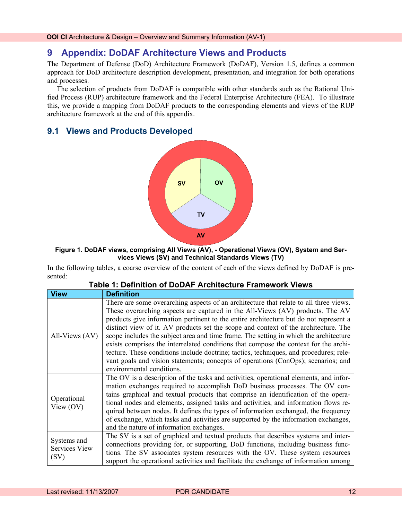## <span id="page-11-0"></span>**9 Appendix: DoDAF Architecture Views and Products**

The Department of Defense (DoD) Architecture Framework (DoDAF), Version 1.5, defines a common approach for DoD architecture description development, presentation, and integration for both operations and processes.

The selection of products from DoDAF is compatible with other standards such as the Rational Unified Process (RUP) architecture framework and the Federal Enterprise Architecture (FEA). To illustrate this, we provide a mapping from DoDAF products to the corresponding elements and views of the RUP architecture framework at the end of this appendix.

### **9.1 Views and Products Developed**



#### **Figure 1. DoDAF views, comprising All Views (AV), - Operational Views (OV), System and Services Views (SV) and Technical Standards Views (TV)**

In the following tables, a coarse overview of the content of each of the views defined by DoDAF is presented:

| <b>View</b>                          | <b>Definition</b>                                                                                                                                                                                                                                                                                                                                                                                                                                                                                                                                                                                                                                                                                                                                   |
|--------------------------------------|-----------------------------------------------------------------------------------------------------------------------------------------------------------------------------------------------------------------------------------------------------------------------------------------------------------------------------------------------------------------------------------------------------------------------------------------------------------------------------------------------------------------------------------------------------------------------------------------------------------------------------------------------------------------------------------------------------------------------------------------------------|
| All-Views (AV)                       | There are some overarching aspects of an architecture that relate to all three views.<br>These overarching aspects are captured in the All-Views (AV) products. The AV<br>products give information pertinent to the entire architecture but do not represent a<br>distinct view of it. AV products set the scope and context of the architecture. The<br>scope includes the subject area and time frame. The setting in which the architecture<br>exists comprises the interrelated conditions that compose the context for the archi-<br>tecture. These conditions include doctrine; tactics, techniques, and procedures; rele-<br>vant goals and vision statements; concepts of operations (ConOps); scenarios; and<br>environmental conditions. |
| Operational<br>View $(OV)$           | The OV is a description of the tasks and activities, operational elements, and infor-<br>mation exchanges required to accomplish DoD business processes. The OV con-<br>tains graphical and textual products that comprise an identification of the opera-<br>tional nodes and elements, assigned tasks and activities, and information flows re-<br>quired between nodes. It defines the types of information exchanged, the frequency<br>of exchange, which tasks and activities are supported by the information exchanges,<br>and the nature of information exchanges.                                                                                                                                                                          |
| Systems and<br>Services View<br>(SV) | The SV is a set of graphical and textual products that describes systems and inter-<br>connections providing for, or supporting, DoD functions, including business func-<br>tions. The SV associates system resources with the OV. These system resources<br>support the operational activities and facilitate the exchange of information among                                                                                                                                                                                                                                                                                                                                                                                                    |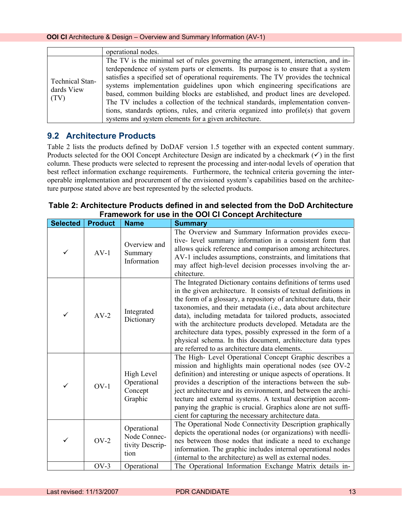<span id="page-12-0"></span>

|                                              | operational nodes.                                                                   |
|----------------------------------------------|--------------------------------------------------------------------------------------|
|                                              | The TV is the minimal set of rules governing the arrangement, interaction, and in-   |
|                                              | terdependence of system parts or elements. Its purpose is to ensure that a system    |
| <b>Technical Stan-</b><br>dards View<br>(TV) | satisfies a specified set of operational requirements. The TV provides the technical |
|                                              | systems implementation guidelines upon which engineering specifications are          |
|                                              | based, common building blocks are established, and product lines are developed.      |
|                                              | The TV includes a collection of the technical standards, implementation conven-      |
|                                              | tions, standards options, rules, and criteria organized into profile(s) that govern  |
|                                              | systems and system elements for a given architecture.                                |

## **9.2 Architecture Products**

Table 2 lists the products defined by DoDAF version 1.5 together with an expected content summary. Products selected for the OOI Concept Architecture Design are indicated by a checkmark  $(\checkmark)$  in the first column. These products were selected to represent the processing and inter-nodal levels of operation that best reflect information exchange requirements. Furthermore, the technical criteria governing the interoperable implementation and procurement of the envisioned system's capabilities based on the architecture purpose stated above are best represented by the selected products.

## **Table 2: Architecture Products defined in and selected from the DoD Architecture Framework for use in the OOI CI Concept Architecture**

| <b>Selected</b> | <b>Product</b> | <b>Name</b>                                            | <b>Summary</b>                                                                                                                                                                                                                                                                                                                                                                                                                                                                                                                                                                     |
|-----------------|----------------|--------------------------------------------------------|------------------------------------------------------------------------------------------------------------------------------------------------------------------------------------------------------------------------------------------------------------------------------------------------------------------------------------------------------------------------------------------------------------------------------------------------------------------------------------------------------------------------------------------------------------------------------------|
| ✓               | $AV-1$         | Overview and<br>Summary<br>Information                 | The Overview and Summary Information provides execu-<br>tive- level summary information in a consistent form that<br>allows quick reference and comparison among architectures.<br>AV-1 includes assumptions, constraints, and limitations that<br>may affect high-level decision processes involving the ar-<br>chitecture.                                                                                                                                                                                                                                                       |
| ✓               | $AV-2$         | Integrated<br>Dictionary                               | The Integrated Dictionary contains definitions of terms used<br>in the given architecture. It consists of textual definitions in<br>the form of a glossary, a repository of architecture data, their<br>taxonomies, and their metadata (i.e., data about architecture<br>data), including metadata for tailored products, associated<br>with the architecture products developed. Metadata are the<br>architecture data types, possibly expressed in the form of a<br>physical schema. In this document, architecture data types<br>are referred to as architecture data elements. |
| ✓               | $OV-1$         | High Level<br>Operational<br>Concept<br>Graphic        | The High- Level Operational Concept Graphic describes a<br>mission and highlights main operational nodes (see OV-2<br>definition) and interesting or unique aspects of operations. It<br>provides a description of the interactions between the sub-<br>ject architecture and its environment, and between the archi-<br>tecture and external systems. A textual description accom-<br>panying the graphic is crucial. Graphics alone are not suffi-<br>cient for capturing the necessary architecture data.                                                                       |
| ✓               | $OV-2$         | Operational<br>Node Connec-<br>tivity Descrip-<br>tion | The Operational Node Connectivity Description graphically<br>depicts the operational nodes (or organizations) with needli-<br>nes between those nodes that indicate a need to exchange<br>information. The graphic includes internal operational nodes<br>(internal to the architecture) as well as external nodes.                                                                                                                                                                                                                                                                |
|                 | $OV-3$         | Operational                                            | The Operational Information Exchange Matrix details in-                                                                                                                                                                                                                                                                                                                                                                                                                                                                                                                            |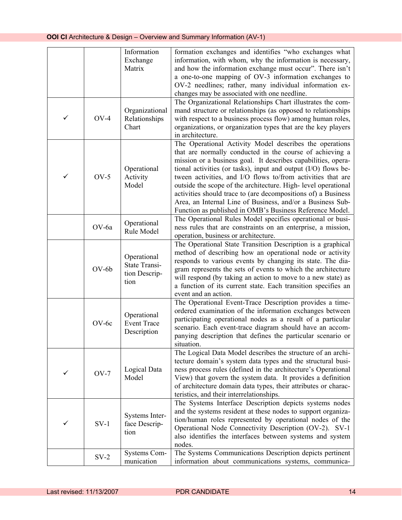|   |         | Information<br>Exchange<br>Matrix                            | formation exchanges and identifies "who exchanges what<br>information, with whom, why the information is necessary,<br>and how the information exchange must occur". There isn't<br>a one-to-one mapping of OV-3 information exchanges to<br>OV-2 needlines; rather, many individual information ex-<br>changes may be associated with one needline.                                                                                                                                                                                                                                |
|---|---------|--------------------------------------------------------------|-------------------------------------------------------------------------------------------------------------------------------------------------------------------------------------------------------------------------------------------------------------------------------------------------------------------------------------------------------------------------------------------------------------------------------------------------------------------------------------------------------------------------------------------------------------------------------------|
| ✓ | $OV-4$  | Organizational<br>Relationships<br>Chart                     | The Organizational Relationships Chart illustrates the com-<br>mand structure or relationships (as opposed to relationships<br>with respect to a business process flow) among human roles,<br>organizations, or organization types that are the key players<br>in architecture.                                                                                                                                                                                                                                                                                                     |
| ✓ | $OV-5$  | Operational<br>Activity<br>Model                             | The Operational Activity Model describes the operations<br>that are normally conducted in the course of achieving a<br>mission or a business goal. It describes capabilities, opera-<br>tional activities (or tasks), input and output $(I/O)$ flows be-<br>tween activities, and I/O flows to/from activities that are<br>outside the scope of the architecture. High-level operational<br>activities should trace to (are decompositions of) a Business<br>Area, an Internal Line of Business, and/or a Business Sub-<br>Function as published in OMB's Business Reference Model. |
|   | OV-6a   | Operational<br>Rule Model                                    | The Operational Rules Model specifies operational or busi-<br>ness rules that are constraints on an enterprise, a mission,<br>operation, business or architecture.                                                                                                                                                                                                                                                                                                                                                                                                                  |
|   | $OV-6b$ | Operational<br><b>State Transi-</b><br>tion Descrip-<br>tion | The Operational State Transition Description is a graphical<br>method of describing how an operational node or activity<br>responds to various events by changing its state. The dia-<br>gram represents the sets of events to which the architecture<br>will respond (by taking an action to move to a new state) as<br>a function of its current state. Each transition specifies an<br>event and an action.                                                                                                                                                                      |
|   | $OV-6c$ | Operational<br><b>Event Trace</b><br>Description             | The Operational Event-Trace Description provides a time-<br>ordered examination of the information exchanges between<br>participating operational nodes as a result of a particular<br>scenario. Each event-trace diagram should have an accom-<br>panying description that defines the particular scenario or<br>situation.                                                                                                                                                                                                                                                        |
| ✓ | $OV-7$  | Logical Data<br>Model                                        | The Logical Data Model describes the structure of an archi-<br>tecture domain's system data types and the structural busi-<br>ness process rules (defined in the architecture's Operational<br>View) that govern the system data. It provides a definition<br>of architecture domain data types, their attributes or charac-<br>teristics, and their interrelationships.                                                                                                                                                                                                            |
| ✓ | $SV-1$  | Systems Inter-<br>face Descrip-<br>tion                      | The Systems Interface Description depicts systems nodes<br>and the systems resident at these nodes to support organiza-<br>tion/human roles represented by operational nodes of the<br>Operational Node Connectivity Description (OV-2). SV-1<br>also identifies the interfaces between systems and system<br>nodes.                                                                                                                                                                                                                                                                |
|   | $SV-2$  | Systems Com-<br>munication                                   | The Systems Communications Description depicts pertinent<br>information about communications systems, communica-                                                                                                                                                                                                                                                                                                                                                                                                                                                                    |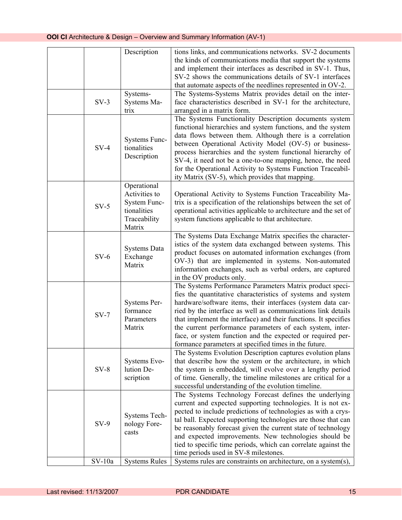|          | Description                                                                           | tions links, and communications networks. SV-2 documents<br>the kinds of communications media that support the systems<br>and implement their interfaces as described in SV-1. Thus,<br>SV-2 shows the communications details of SV-1 interfaces<br>that automate aspects of the needlines represented in OV-2.                                                                                                                                                                                               |
|----------|---------------------------------------------------------------------------------------|---------------------------------------------------------------------------------------------------------------------------------------------------------------------------------------------------------------------------------------------------------------------------------------------------------------------------------------------------------------------------------------------------------------------------------------------------------------------------------------------------------------|
| $SV-3$   | Systems-<br>Systems Ma-<br>trix                                                       | The Systems-Systems Matrix provides detail on the inter-<br>face characteristics described in SV-1 for the architecture,<br>arranged in a matrix form.                                                                                                                                                                                                                                                                                                                                                        |
| $SV-4$   | Systems Func-<br>tionalities<br>Description                                           | The Systems Functionality Description documents system<br>functional hierarchies and system functions, and the system<br>data flows between them. Although there is a correlation<br>between Operational Activity Model (OV-5) or business-<br>process hierarchies and the system functional hierarchy of<br>SV-4, it need not be a one-to-one mapping, hence, the need<br>for the Operational Activity to Systems Function Traceabil-<br>ity Matrix (SV-5), which provides that mapping.                     |
| $SV-5$   | Operational<br>Activities to<br>System Func-<br>tionalities<br>Traceability<br>Matrix | Operational Activity to Systems Function Traceability Ma-<br>trix is a specification of the relationships between the set of<br>operational activities applicable to architecture and the set of<br>system functions applicable to that architecture.                                                                                                                                                                                                                                                         |
| $SV-6$   | <b>Systems Data</b><br>Exchange<br>Matrix                                             | The Systems Data Exchange Matrix specifies the character-<br>istics of the system data exchanged between systems. This<br>product focuses on automated information exchanges (from<br>OV-3) that are implemented in systems. Non-automated<br>information exchanges, such as verbal orders, are captured<br>in the OV products only.                                                                                                                                                                          |
| $SV-7$   | Systems Per-<br>formance<br>Parameters<br>Matrix                                      | The Systems Performance Parameters Matrix product speci-<br>fies the quantitative characteristics of systems and system<br>hardware/software items, their interfaces (system data car-<br>ried by the interface as well as communications link details<br>that implement the interface) and their functions. It specifies<br>the current performance parameters of each system, inter-<br>face, or system function and the expected or required per-<br>formance parameters at specified times in the future. |
| $SV-8$   | Systems Evo-<br>lution De-<br>scription                                               | The Systems Evolution Description captures evolution plans<br>that describe how the system or the architecture, in which<br>the system is embedded, will evolve over a lengthy period<br>of time. Generally, the timeline milestones are critical for a<br>successful understanding of the evolution timeline.                                                                                                                                                                                                |
| $SV-9$   | Systems Tech-<br>nology Fore-<br>casts                                                | The Systems Technology Forecast defines the underlying<br>current and expected supporting technologies. It is not ex-<br>pected to include predictions of technologies as with a crys-<br>tal ball. Expected supporting technologies are those that can<br>be reasonably forecast given the current state of technology<br>and expected improvements. New technologies should be<br>tied to specific time periods, which can correlate against the<br>time periods used in SV-8 milestones.                   |
| $SV-10a$ | <b>Systems Rules</b>                                                                  | Systems rules are constraints on architecture, on a system(s),                                                                                                                                                                                                                                                                                                                                                                                                                                                |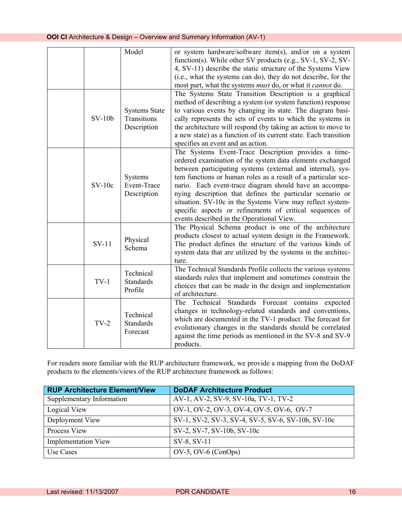|          | Model                                              | or system hardware/software item(s), and/or on a system<br>function(s). While other SV products (e.g., SV-1, SV-2, SV-<br>4, SV-11) describe the static structure of the Systems View<br>(i.e., what the systems can do), they do not describe, for the<br>most part, what the systems <i>must</i> do, or what it <i>cannot</i> do.                                                                                                                                                                                                             |
|----------|----------------------------------------------------|-------------------------------------------------------------------------------------------------------------------------------------------------------------------------------------------------------------------------------------------------------------------------------------------------------------------------------------------------------------------------------------------------------------------------------------------------------------------------------------------------------------------------------------------------|
| $SV-10b$ | <b>Systems State</b><br>Transitions<br>Description | The Systems State Transition Description is a graphical<br>method of describing a system (or system function) response<br>to various events by changing its state. The diagram basi-<br>cally represents the sets of events to which the systems in<br>the architecture will respond (by taking an action to move to<br>a new state) as a function of its current state. Each transition<br>specifies an event and an action.                                                                                                                   |
| $SV-10c$ | Systems<br>Event-Trace<br>Description              | The Systems Event-Trace Description provides a time-<br>ordered examination of the system data elements exchanged<br>between participating systems (external and internal), sys-<br>tem functions or human roles as a result of a particular sce-<br>nario. Each event-trace diagram should have an accompa-<br>nying description that defines the particular scenario or<br>situation. SV-10c in the Systems View may reflect system-<br>specific aspects or refinements of critical sequences of<br>events described in the Operational View. |
| $SV-11$  | Physical<br>Schema                                 | The Physical Schema product is one of the architecture<br>products closest to actual system design in the Framework.<br>The product defines the structure of the various kinds of<br>system data that are utilized by the systems in the architec-<br>ture.                                                                                                                                                                                                                                                                                     |
| $TV-1$   | Technical<br><b>Standards</b><br>Profile           | The Technical Standards Profile collects the various systems<br>standards rules that implement and sometimes constrain the<br>choices that can be made in the design and implementation<br>of architecture.                                                                                                                                                                                                                                                                                                                                     |
| $TV-2$   | Technical<br><b>Standards</b><br>Forecast          | Standards Forecast contains<br>The Technical<br>expected<br>changes in technology-related standards and conventions,<br>which are documented in the TV-1 product. The forecast for<br>evolutionary changes in the standards should be correlated<br>against the time periods as mentioned in the SV-8 and SV-9<br>products.                                                                                                                                                                                                                     |

For readers more familiar with the RUP architecture framework, we provide a mapping from the DoDAF products to the elements/views of the RUP architecture framework as follows:

| <b>RUP Architecture Element/View</b> | <b>DoDAF Architecture Product</b>                  |
|--------------------------------------|----------------------------------------------------|
| Supplementary Information            | AV-1, AV-2, SV-9, SV-10a, TV-1, TV-2               |
| Logical View                         | OV-1, OV-2, OV-3, OV-4, OV-5, OV-6, OV-7           |
| Deployment View                      | SV-1, SV-2, SV-3, SV-4, SV-5, SV-6, SV-10b, SV-10c |
| Process View                         | SV-2, SV-7, SV-10b, SV-10c                         |
| <b>Implementation View</b>           | SV-8, SV-11                                        |
| Use Cases                            | $OV-5$ , $OV-6$ (ConOps)                           |